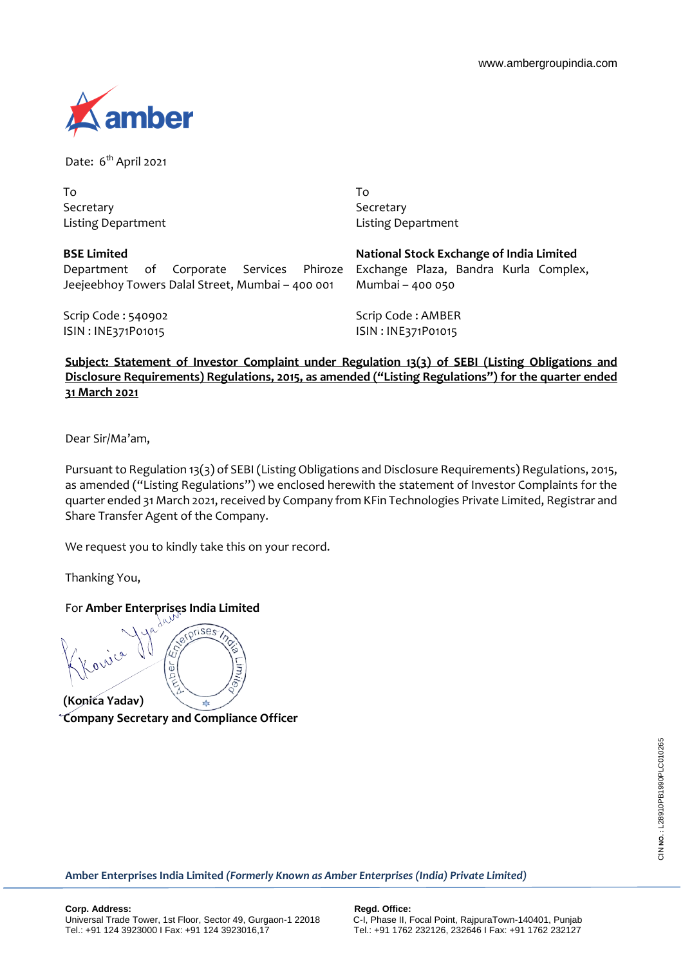

Date: 6<sup>th</sup> April 2021

To Secretary Listing Department

**BSE Limited**

To Secretary Listing Department

| <b>BSE Limited</b>                               |  |  |  |  |  |  |  |  |
|--------------------------------------------------|--|--|--|--|--|--|--|--|
| Department of Corporate Services Phiroze         |  |  |  |  |  |  |  |  |
| Jeejeebhoy Towers Dalal Street, Mumbai - 400 001 |  |  |  |  |  |  |  |  |

**National Stock Exchange of India Limited** Exchange Plaza, Bandra Kurla Complex, Mumbai – 400 050

Scrip Code : 540902 ISIN : INE371P01015

Scrip Code : AMBER ISIN : INE371P01015

**Subject: Statement of Investor Complaint under Regulation 13(3) of SEBI (Listing Obligations and Disclosure Requirements) Regulations, 2015, as amended ("Listing Regulations") for the quarter ended 31 March 2021**

Dear Sir/Ma'am,

Pursuant to Regulation 13(3) of SEBI (Listing Obligations and Disclosure Requirements) Regulations, 2015, as amended ("Listing Regulations") we enclosed herewith the statement of Investor Complaints for the quarter ended 31 March 2021, received by Company from KFin Technologies Private Limited, Registrar and Share Transfer Agent of the Company.

We request you to kindly take this on your record.

Thanking You,

For **Amber Enterprises India Limited**

Ξ her

**(Konica Yadav) Company Secretary and Compliance Officer**

**Amber Enterprises India Limited** *(Formerly Known as Amber Enterprises (India) Private Limited)*